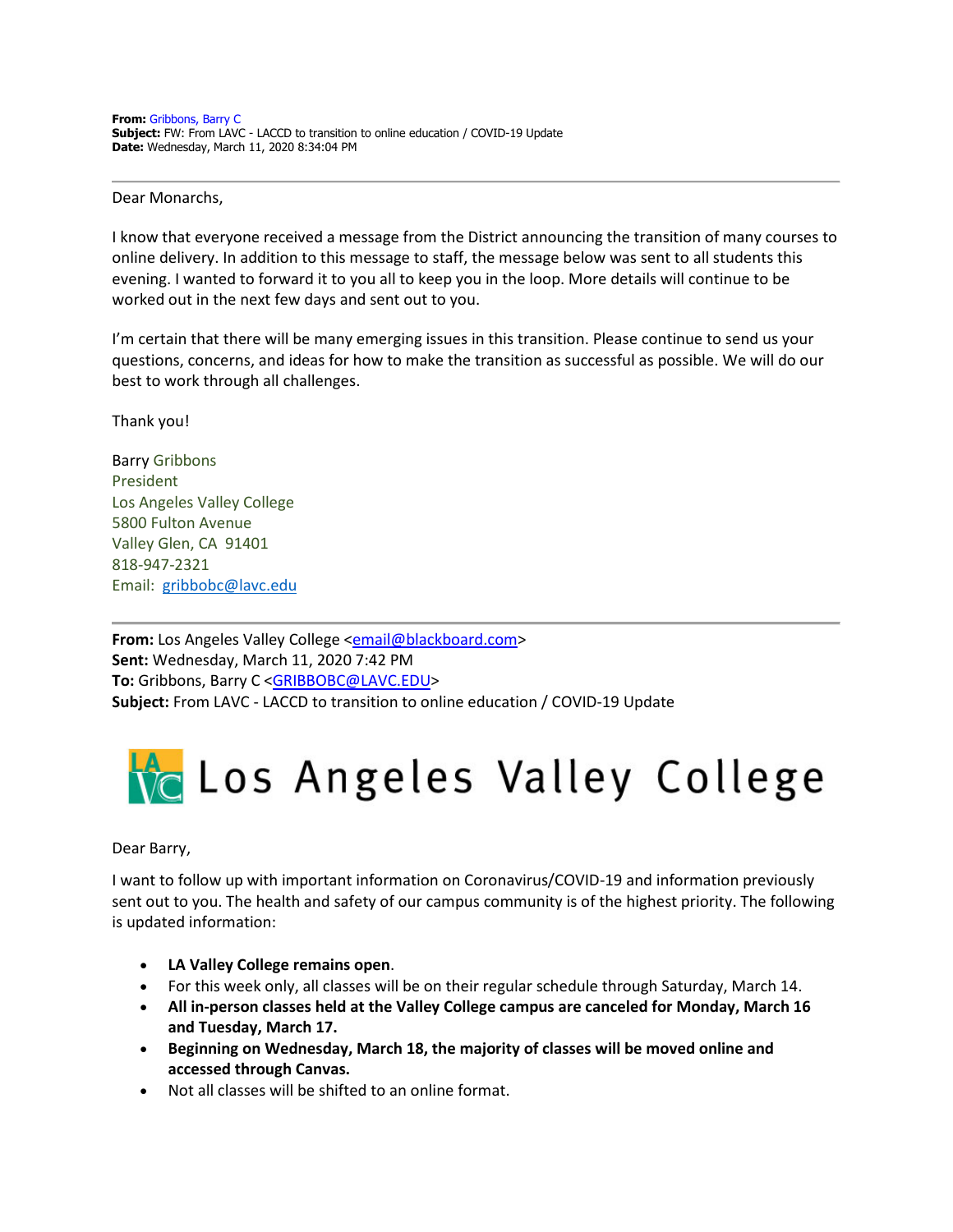## Dear Monarchs,

I know that everyone received a message from the District announcing the transition of many courses to online delivery. In addition to this message to staff, the message below was sent to all students this evening. I wanted to forward it to you all to keep you in the loop. More details will continue to be worked out in the next few days and sent out to you.

I'm certain that there will be many emerging issues in this transition. Please continue to send us your questions, concerns, and ideas for how to make the transition as successful as possible. We will do our best to work through all challenges.

Thank you!

Barry Gribbons President Los Angeles Valley College 5800 Fulton Avenue Valley Glen, CA 91401 818-947-2321 Email: [gribbobc@lavc.edu](mailto:gribbobc@lavc.edu)

**From:** Los Angeles Valley College <**email@blackboard.com> Sent:** Wednesday, March 11, 2020 7:42 PM **To:** Gribbons, Barry C [<GRIBBOBC@LAVC.EDU>](mailto:GRIBBOBC@LAVC.EDU) **Subject:** From LAVC - LACCD to transition to online education / COVID-19 Update

## **Ve** Los Angeles Valley College

## Dear Barry,

I want to follow up with important information on Coronavirus/COVID-19 and information previously sent out to you. The health and safety of our campus community is of the highest priority. The following is updated information:

- **LA Valley College remains open**.
- For this week only, all classes will be on their regular schedule through Saturday, March 14.
- **All in-person classes held at the Valley College campus are canceled for Monday, March 16 and Tuesday, March 17.**
- **Beginning on Wednesday, March 18, the majority of classes will be moved online and accessed through Canvas.**
- Not all classes will be shifted to an online format.